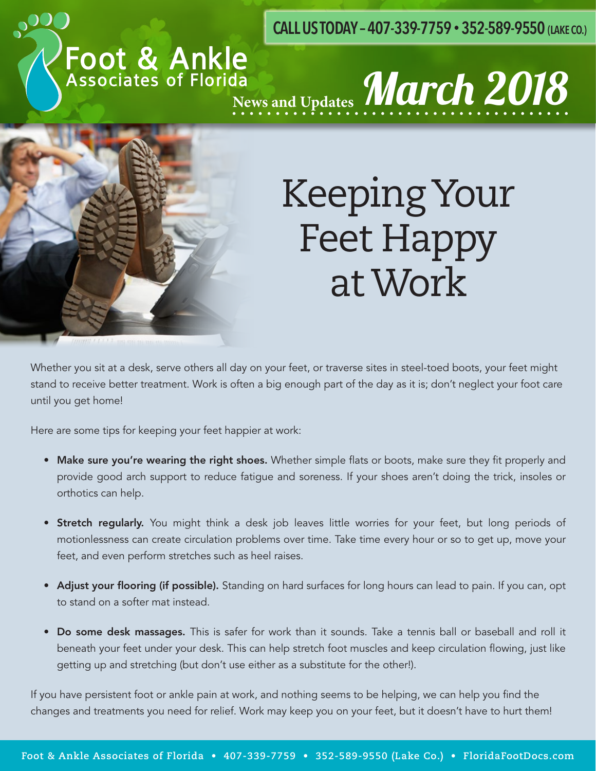**CALL US TODAY – 407-339-7759 • 352-589-9550 (LAKE CO.)**

# Foot & Ankle<br>Associates of Florida<br>News and Updates **March 2018**



## Keeping Your Feet Happy at Work

Whether you sit at a desk, serve others all day on your feet, or traverse sites in steel-toed boots, your feet might stand to receive better treatment. Work is often a big enough part of the day as it is; don't neglect your foot care until you get home!

Here are some tips for keeping your feet happier at work:

- Make sure you're wearing the right shoes. Whether simple flats or boots, make sure they fit properly and provide good arch support to reduce fatigue and soreness. If your shoes aren't doing the trick, insoles or orthotics can help.
- **Stretch regularly.** You might think a desk job leaves little worries for your feet, but long periods of motionlessness can create circulation problems over time. Take time every hour or so to get up, move your feet, and even perform stretches such as heel raises.
- Adjust your flooring (if possible). Standing on hard surfaces for long hours can lead to pain. If you can, opt to stand on a softer mat instead.
- Do some desk massages. This is safer for work than it sounds. Take a tennis ball or baseball and roll it beneath your feet under your desk. This can help stretch foot muscles and keep circulation flowing, just like getting up and stretching (but don't use either as a substitute for the other!).

If you have persistent foot or ankle pain at work, and nothing seems to be helping, we can help you find the changes and treatments you need for relief. Work may keep you on your feet, but it doesn't have to hurt them!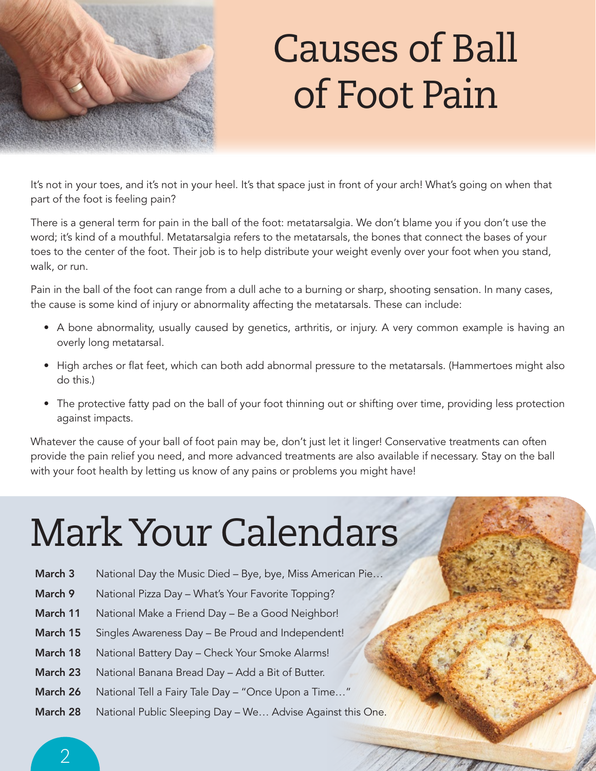

## Causes of Ball of Foot Pain

It's not in your toes, and it's not in your heel. It's that space just in front of your arch! What's going on when that part of the foot is feeling pain?

There is a general term for pain in the ball of the foot: metatarsalgia. We don't blame you if you don't use the word; it's kind of a mouthful. Metatarsalgia refers to the metatarsals, the bones that connect the bases of your toes to the center of the foot. Their job is to help distribute your weight evenly over your foot when you stand, walk, or run.

Pain in the ball of the foot can range from a dull ache to a burning or sharp, shooting sensation. In many cases, the cause is some kind of injury or abnormality affecting the metatarsals. These can include:

- A bone abnormality, usually caused by genetics, arthritis, or injury. A very common example is having an overly long metatarsal.
- High arches or flat feet, which can both add abnormal pressure to the metatarsals. (Hammertoes might also do this.)
- The protective fatty pad on the ball of your foot thinning out or shifting over time, providing less protection against impacts.

Whatever the cause of your ball of foot pain may be, don't just let it linger! Conservative treatments can often provide the pain relief you need, and more advanced treatments are also available if necessary. Stay on the ball with your foot health by letting us know of any pains or problems you might have!

# Mark Your Calendars

- March 3 National Day the Music Died Bye, bye, Miss American Pie...
- March 9 National Pizza Day What's Your Favorite Topping?
- March 11 National Make a Friend Day Be a Good Neighbor!
- March 15 Singles Awareness Day Be Proud and Independent!
- March 18 National Battery Day Check Your Smoke Alarms!
- March 23 National Banana Bread Day Add a Bit of Butter.
- March 26 National Tell a Fairy Tale Day "Once Upon a Time..."
- March 28 National Public Sleeping Day We... Advise Against this One.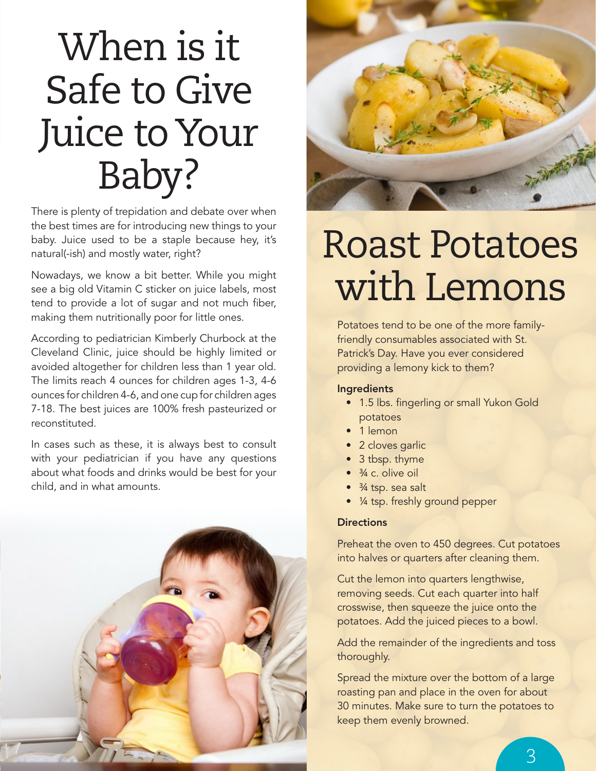## When is it Safe to Give Juice to Your Baby?

There is plenty of trepidation and debate over when the best times are for introducing new things to your baby. Juice used to be a staple because hey, it's natural(-ish) and mostly water, right?

Nowadays, we know a bit better. While you might see a big old Vitamin C sticker on juice labels, most tend to provide a lot of sugar and not much fiber, making them nutritionally poor for little ones.

According to pediatrician Kimberly Churbock at the Cleveland Clinic, juice should be highly limited or avoided altogether for children less than 1 year old. The limits reach 4 ounces for children ages 1-3, 4-6 ounces for children 4-6, and one cup for children ages 7-18. The best juices are 100% fresh pasteurized or reconstituted.

In cases such as these, it is always best to consult with your pediatrician if you have any questions about what foods and drinks would be best for your child, and in what amounts.





#### Roast Potatoes with Lemons

Potatoes tend to be one of the more familyfriendly consumables associated with St. Patrick's Day. Have you ever considered providing a lemony kick to them?

#### Ingredients

- 1.5 lbs. fingerling or small Yukon Gold potatoes
- 1 lemon
- 2 cloves garlic
- 3 tbsp. thyme
- $\bullet$   $\frac{3}{4}$  c olive oil
- <sup>3</sup>/<sub>4</sub> tsp. sea salt
- $\frac{1}{4}$  tsp. freshly ground pepper

#### **Directions**

Preheat the oven to 450 degrees. Cut potatoes into halves or quarters after cleaning them.

Cut the lemon into quarters lengthwise, removing seeds. Cut each quarter into half crosswise, then squeeze the juice onto the potatoes. Add the juiced pieces to a bowl.

Add the remainder of the ingredients and toss thoroughly.

Spread the mixture over the bottom of a large roasting pan and place in the oven for about 30 minutes. Make sure to turn the potatoes to keep them evenly browned.